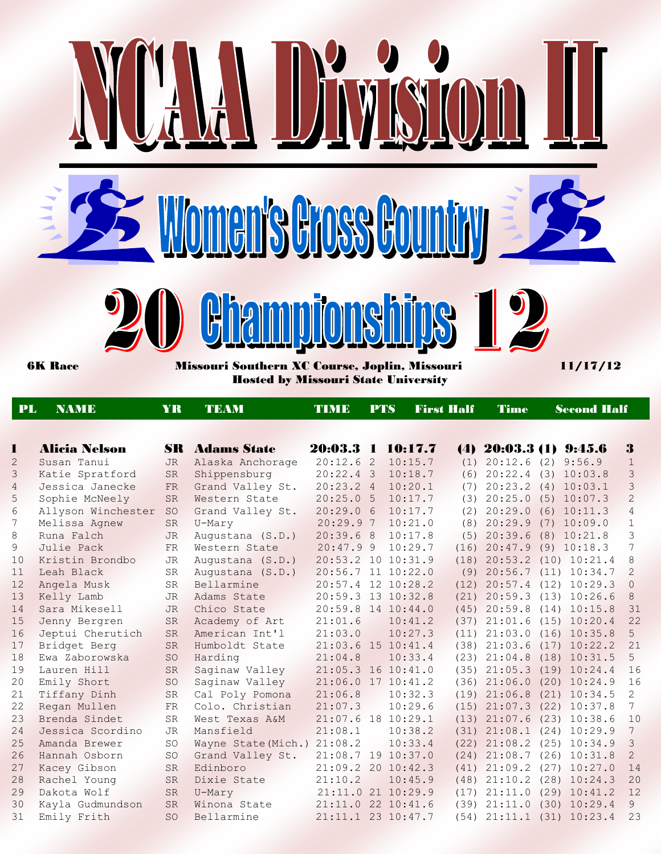

| PL             | <b>NAMIE</b>         | YR              |                       | TIMB               | <b>PTS</b> |                    | <b>First Half</b> | Time                       | <b>Second Half</b> |                                   |                 |
|----------------|----------------------|-----------------|-----------------------|--------------------|------------|--------------------|-------------------|----------------------------|--------------------|-----------------------------------|-----------------|
|                |                      |                 |                       |                    |            |                    |                   |                            |                    |                                   |                 |
| L              | <b>Alicia Nelson</b> |                 | <b>SR</b> Adams State | 20:03.3 1          |            | 10:17.7            |                   | $(4)$ 20:03.3 (1) 9:45.6   |                    |                                   | 3               |
| 2              | Susan Tanui          | <b>JR</b>       | Alaska Anchorage      | $20:12.6$ 2        |            | 10:15.7            |                   | $(1)$ 20:12.6 $(2)$ 9:56.9 |                    |                                   | $\mathbf{1}$    |
| 3              | Katie Spratford      | <b>SR</b>       | Shippensburg          | $20:22.4$ 3        |            | 10:18.7            | (6)               | 20:22.4 (3) 10:03.8        |                    |                                   | 3               |
| $\overline{4}$ | Jessica Janecke      | <b>FR</b>       | Grand Valley St.      | 20:23.24           |            | 10:20.1            | (7)               | $20:23.2$ (4) $10:03.1$    |                    |                                   | $\mathsf 3$     |
| 5              | Sophie McNeely       | <b>SR</b>       | Western State         | 20:25.05           |            | 10:17.7            |                   | $(3)$ $20:25.0$            |                    | (5) 10:07.3                       | $\overline{c}$  |
| 6              | Allyson Winchester   | <b>SO</b>       | Grand Valley St.      | 20:29.06           |            | 10:17.7            |                   | $(2)$ $20:29.0$            |                    | $(6)$ 10:11.3                     | $\overline{4}$  |
| 7              | Melissa Agnew        | <b>SR</b>       | U-Mary                | 20:29.97           |            | 10:21.0            |                   | $(8)$ 20:29.9              |                    | $(7)$ 10:09.0                     | $\mathbf{1}$    |
| 8              | Runa Falch           | <b>JR</b>       | Augustana (S.D.)      | 20:39.68           |            | 10:17.8            |                   | $(5)$ 20:39.6              |                    | $(8)$ 10:21.8                     | 3               |
| 9              | Julie Pack           | <b>FR</b>       | Western State         | 20:47.99           |            | 10:29.7            | (16)              | $20:47.9$ (9) $10:18.3$    |                    |                                   | $\overline{7}$  |
| 10             | Kristin Brondbo      | <b>JR</b>       | Augustana (S.D.)      | 20:53.2 10 10:31.9 |            |                    |                   |                            |                    | $(18)$ $20:53.2$ $(10)$ $10:21.4$ | 8               |
| 11             | Leah Black           | <b>SR</b>       | Augustana (S.D.)      | 20:56.7 11 10:22.0 |            |                    |                   |                            |                    | $(9)$ $20:56.7$ $(11)$ $10:34.7$  | 2               |
| 12             | Angela Musk          | <b>SR</b>       | Bellarmine            |                    |            | 20:57.4 12 10:28.2 |                   |                            |                    | $(12)$ $20:57.4$ $(12)$ $10:29.3$ | $\circ$         |
| 13             | Kelly Lamb           | <b>JR</b>       | Adams State           | 20:59.3 13 10:32.8 |            |                    | (21)              | 20:59.3                    |                    | $(13)$ 10:26.6                    | 8               |
| 14             | Sara Mikesell        | <b>JR</b>       | Chico State           | 20:59.8 14 10:44.0 |            |                    | (45)              | 20:59.8                    |                    | $(14)$ 10:15.8                    | 31              |
| 15             | Jenny Bergren        | <b>SR</b>       | Academy of Art        | 21:01.6            |            | 10:41.2            | (37)              | 21:01.6                    |                    | $(15)$ 10:20.4                    | 22              |
| 16             | Jeptui Cherutich     | <b>SR</b>       | American Int'l        | 21:03.0            |            | 10:27.3            |                   | $(11)$ $21:03.0$           |                    | $(16)$ 10:35.8                    | 5               |
| 17             | Bridget Berg         | <b>SR</b>       | Humboldt State        | 21:03.6 15 10:41.4 |            |                    |                   |                            |                    | $(38)$ $21:03.6$ $(17)$ $10:22.2$ | 21              |
| 18             | Ewa Zaborowska       | SO <sub>1</sub> | Harding               | 21:04.8            |            | 10:33.4            |                   |                            |                    | $(23)$ $21:04.8$ $(18)$ $10:31.5$ | 5               |
| 19             | Lauren Hill          | <b>SR</b>       | Saginaw Valley        | 21:05.3 16 10:41.0 |            |                    |                   | $(35)$ $21:05.3$           |                    | $(19)$ $10:24.4$                  | 16              |
| 20             | Emily Short          | <b>SO</b>       | Saginaw Valley        |                    |            | 21:06.0 17 10:41.2 |                   | $(36)$ $21:06.0$           |                    | $(20)$ 10:24.9                    | 16              |
| 21             | Tiffany Dinh         | <b>SR</b>       | Cal Poly Pomona       | 21:06.8            |            | 10:32.3            |                   |                            |                    | $(19)$ $21:06.8$ $(21)$ $10:34.5$ | 2               |
| 22             | Regan Mullen         | <b>FR</b>       | Colo. Christian       | 21:07.3            |            | 10:29.6            |                   |                            |                    | $(15)$ $21:07.3$ $(22)$ $10:37.8$ | 7               |
| 23             | Brenda Sindet        | <b>SR</b>       | West Texas A&M        | 21:07.6 18 10:29.1 |            |                    |                   |                            |                    | $(13)$ $21:07.6$ $(23)$ $10:38.6$ | 10              |
| 24             | Jessica Scordino     | <b>JR</b>       | Mansfield             | 21:08.1            |            | 10:38.2            |                   |                            |                    | $(31)$ $21:08.1$ $(24)$ $10:29.9$ | $7\phantom{.0}$ |
| 25             | Amanda Brewer        | <b>SO</b>       | Wayne State (Mich.)   | 21:08.2            |            | 10:33.4            |                   | $(22)$ $21:08.2$           |                    | $(25)$ 10:34.9                    | $\mathcal{E}$   |
| 26             | Hannah Osborn        | <b>SO</b>       | Grand Valley St.      | 21:08.7 19 10:37.0 |            |                    |                   | $(24)$ $21:08.7$           |                    | $(26)$ 10:31.8                    | $\overline{2}$  |
| 27             | Kacey Gibson         | <b>SR</b>       | Edinboro              | 21:09.2 20 10:42.3 |            |                    | (41)              | 21:09.2                    |                    | $(27)$ 10:27.0                    | 14              |
| 28             | Rachel Young         | <b>SR</b>       | Dixie State           | 21:10.2            |            | 10:45.9            |                   | $(48)$ $21:10.2$           |                    | $(28)$ 10:24.3                    | 20              |
| 29             | Dakota Wolf          | <b>SR</b>       | U-Mary                |                    |            | 21:11.0 21 10:29.9 |                   | $(17)$ $21:11.0$           |                    | $(29)$ 10:41.2                    | 12              |
| 30             | Kayla Gudmundson     | <b>SR</b>       | Winona State          | 21:11.0 22 10:41.6 |            |                    |                   | $(39)$ $21:11.0$           |                    | $(30)$ 10:29.4                    | 9               |
| 31             | Emily Frith          | <b>SO</b>       | Bellarmine            | 21:11.1 23 10:47.7 |            |                    |                   |                            |                    | $(54)$ $21:11.1$ $(31)$ $10:23.4$ | 23              |
|                |                      |                 |                       |                    |            |                    |                   |                            |                    |                                   |                 |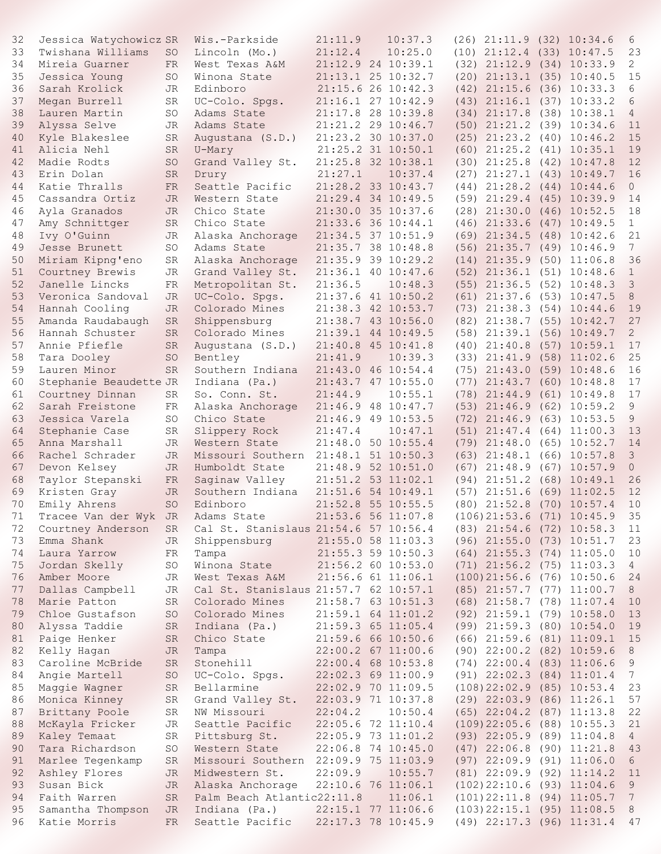| 32 | Jessica Watychowicz SR            |           | Wis.-Parkside                         | 21:11.9            | 10:37.3            |      | $(26)$ $21:11.9$ $(32)$ $10:34.6$ |      |                | 6               |
|----|-----------------------------------|-----------|---------------------------------------|--------------------|--------------------|------|-----------------------------------|------|----------------|-----------------|
| 33 | Twishana Williams                 |           | Lincoln (Mo.)                         | 21:12.4            | 10:25.0            |      | $(10)$ $21:12.4$ $(33)$ $10:47.5$ |      |                | 23              |
|    |                                   | <b>SO</b> |                                       |                    |                    |      |                                   |      |                |                 |
| 34 | Mireia Guarner                    | <b>FR</b> | West Texas A&M                        | 21:12.9 24 10:39.1 |                    |      | $(32)$ $21:12.9$ $(34)$ $10:33.9$ |      |                | $\overline{2}$  |
| 35 | Jessica Young                     | <b>SO</b> | Winona State                          |                    | 21:13.1 25 10:32.7 |      | $(20)$ $21:13.1$ $(35)$ $10:40.5$ |      |                | 15              |
| 36 | Sarah Krolick                     | <b>JR</b> | Edinboro                              |                    | 21:15.6 26 10:42.3 |      | $(42)$ $21:15.6$ $(36)$ $10:33.3$ |      |                | 6               |
| 37 | Megan Burrell                     | SR        | UC-Colo. Spgs.                        |                    | 21:16.1 27 10:42.9 |      | $(43)$ $21:16.1$ $(37)$ $10:33.2$ |      |                | 6               |
| 38 | Lauren Martin                     | SO        | Adams State                           | 21:17.8 28 10:39.8 |                    |      | $(34)$ $21:17.8$ $(38)$ $10:38.1$ |      |                | $\overline{4}$  |
| 39 | Alyssa Selve                      | JR.       | Adams State                           |                    | 21:21.2 29 10:46.7 |      | $(50)$ $21:21.2$ $(39)$ $10:34.6$ |      |                | 11              |
| 40 | Kyle Blakeslee                    | <b>SR</b> | Augustana (S.D.)                      | 21:23.2 30 10:37.0 |                    |      | $(25)$ $21:23.2$ $(40)$ $10:46.2$ |      |                | 15              |
| 41 | Alicia Nehl                       | <b>SR</b> | U-Mary                                |                    | 21:25.2 31 10:50.1 |      | $(60)$ $21:25.2$ $(41)$ $10:35.1$ |      |                | 19              |
|    |                                   |           |                                       |                    |                    |      |                                   |      |                | 12              |
| 42 | Madie Rodts                       | SO        | Grand Valley St.                      | 21:25.8 32 10:38.1 |                    |      | $(30)$ $21:25.8$ $(42)$ $10:47.8$ |      |                |                 |
| 43 | Erin Dolan                        | <b>SR</b> | Drury                                 | 21:27.1            | 10:37.4            |      | $(27)$ $21:27.1$ $(43)$ $10:49.7$ |      |                | 16              |
| 44 | Katie Thralls                     | <b>FR</b> | Seattle Pacific                       |                    | 21:28.2 33 10:43.7 |      | $(44)$ $21:28.2$ $(44)$ $10:44.6$ |      |                | $\circ$         |
| 45 | Cassandra Ortiz                   | <b>JR</b> | Western State                         |                    | 21:29.4 34 10:49.5 |      | $(59)$ $21:29.4$ $(45)$ $10:39.9$ |      |                | 14              |
| 46 | Ayla Granados                     | <b>JR</b> | Chico State                           |                    | 21:30.0 35 10:37.6 |      | $(28)$ $21:30.0$                  |      | $(46)$ 10:52.5 | 18              |
| 47 | Amy Schnittger                    | SR        | Chico State                           | 21:33.6 36 10:44.1 |                    |      | $(46)$ $21:33.6$                  |      | $(47)$ 10:49.5 | $\mathbf{1}$    |
| 48 | Ivy O'Guinn                       | JR        | Alaska Anchorage                      | 21:34.5 37 10:51.9 |                    |      | $(69)$ $21:34.5$ $(48)$ $10:42.6$ |      |                | 21              |
| 49 | Jesse Brunett                     | SO        | Adams State                           |                    | 21:35.7 38 10:48.8 |      | $(56)$ 21:35.7 $(49)$ 10:46.9     |      |                | $7\phantom{.}$  |
| 50 | Miriam Kipng'eno                  | SR        | Alaska Anchorage                      |                    | 21:35.9 39 10:29.2 |      | $(14)$ $21:35.9$ $(50)$ $11:06.8$ |      |                | 36              |
|    |                                   |           |                                       |                    |                    |      |                                   |      |                |                 |
| 51 | Courtney Brewis                   | JR        | Grand Valley St.                      | 21:36.1 40 10:47.6 |                    | (52) | 21:36.1(51)10:48.6                |      |                | $\mathbf{1}$    |
| 52 | Janelle Lincks                    | FR        | Metropolitan St.                      | 21:36.5            | 10:48.3            |      | $(55)$ $21:36.5$ $(52)$ $10:48.3$ |      |                | $\mathcal{S}$   |
| 53 | Veronica Sandoval                 | JR.       | UC-Colo. Spgs.                        | 21:37.6 41 10:50.2 |                    |      | $(61)$ $21:37.6$                  |      | $(53)$ 10:47.5 | $\,8\,$         |
| 54 | Hannah Cooling                    | <b>JR</b> | Colorado Mines                        | 21:38.3 42 10:53.7 |                    |      | $(73)$ $21:38.3$ $(54)$ $10:44.6$ |      |                | 19              |
| 55 | Amanda Raudabaugh                 | <b>SR</b> | Shippensburg                          |                    | 21:38.7 43 10:56.0 |      | $(82)$ $21:38.7$ $(55)$ $10:42.7$ |      |                | 27              |
| 56 | Hannah Schuster                   | <b>SR</b> | Colorado Mines                        | 21:39.1 44 10:49.5 |                    |      | $(58)$ $21:39.1$ $(56)$ $10:49.7$ |      |                | $\overline{2}$  |
| 57 | Annie Pfiefle                     | <b>SR</b> | Augustana (S.D.)                      | 21:40.8 45 10:41.8 |                    |      | $(40)$ $21:40.8$                  |      | $(57)$ 10:59.1 | 17              |
| 58 | Tara Dooley                       | SO        | Bentley                               | 21:41.9            | 10:39.3            |      | $(33)$ $21:41.9$ $(58)$ $11:02.6$ |      |                | 25              |
| 59 | Lauren Minor                      | <b>SR</b> | Southern Indiana                      | 21:43.0 46 10:54.4 |                    |      | $(75)$ $21:43.0$                  |      |                | 16              |
|    |                                   |           |                                       |                    |                    |      |                                   |      | $(59)$ 10:48.6 |                 |
| 60 | Stephanie Beaudette JR            |           | Indiana (Pa.)                         |                    | 21:43.7 47 10:55.0 | (77) | 21:43.7 (60) 10:48.8              |      |                | 17              |
| 61 | Courtney Dinnan                   | SR        | So. Conn. St.                         | 21:44.9            | 10:55.1            |      | $(78)$ $21:44.9$                  | (61) | 10:49.8        | 17              |
| 62 | Sarah Freistone                   | FR        | Alaska Anchorage                      | 21:46.9 48 10:47.7 |                    |      | $(53)$ $21:46.9$                  |      | $(62)$ 10:59.2 | 9               |
| 63 | Jessica Varela                    | SO        | Chico State                           | 21:46.9 49 10:53.5 |                    | (72) | 21:46.9                           |      | $(63)$ 10:53.5 | 9               |
| 64 | Stephanie Case                    | SR        | Slippery Rock                         | 21:47.4            | 10:47.1            | (51) | 21:47.4                           |      | $(64)$ 11:00.3 | 13              |
| 65 | Anna Marshall                     | JR.       | Western State                         |                    | 21:48.0 50 10:55.4 |      | $(79)$ $21:48.0$                  |      | $(65)$ 10:52.7 | 14              |
| 66 | Rachel Schrader                   | <b>JR</b> | Missouri Southern                     | 21:48.1 51 10:50.3 |                    |      | $(63)$ $21:48.1$ $(66)$ $10:57.8$ |      |                | $\mathcal{E}$   |
| 67 | Devon Kelsey                      | <b>JR</b> | Humboldt State                        |                    | 21:48.9 52 10:51.0 | (67) | 21:48.9                           |      | $(67)$ 10:57.9 | $\overline{O}$  |
| 68 | Taylor Stepanski                  | FR        | Saginaw Valley                        | 21:51.2 53 11:02.1 |                    | (94) | 21:51.2                           |      | $(68)$ 10:49.1 | 26              |
|    |                                   |           |                                       |                    |                    |      |                                   |      |                |                 |
| 69 | Kristen Gray                      | JR        | Southern Indiana                      | 21:51.6 54 10:49.1 |                    | (57) | 21:51.6                           |      | $(69)$ 11:02.5 | 12              |
| 70 | Emily Ahrens                      | SO        | Edinboro                              | 21:52.8 55 10:55.5 |                    |      | $(80)$ $21:52.8$ $(70)$ $10:57.4$ |      |                | 10              |
| 71 | Tracee Van der Wyk JR Adams State |           |                                       | 21:53.6 56 11:07.8 |                    |      | $(106)$ 21:53.6 $(71)$ 10:45.9 35 |      |                |                 |
| 72 | Courtney Anderson                 | SR        | Cal St. Stanislaus 21:54.6 57 10:56.4 |                    |                    |      | $(83)$ $21:54.6$ $(72)$ $10:58.3$ |      |                | 11              |
| 73 | Emma Shank                        | JR        | Shippensburg                          |                    | 21:55.0 58 11:03.3 |      | $(96)$ $21:55.0$ $(73)$ $10:51.7$ |      |                | 23              |
| 74 | Laura Yarrow                      | FR        | Tampa                                 |                    | 21:55.3 59 10:50.3 |      | $(64)$ $21:55.3$ $(74)$ $11:05.0$ |      |                | 10              |
| 75 | Jordan Skelly                     | SO        | Winona State                          | 21:56.2 60 10:53.0 |                    |      | $(71)$ $21:56.2$ $(75)$ $11:03.3$ |      |                | $4\overline{ }$ |
| 76 | Amber Moore                       | JR        | West Texas A&M                        |                    | 21:56.6 61 11:06.1 |      | $(100)$ 21:56.6 $(76)$ 10:50.6    |      |                | 24              |
| 77 | Dallas Campbell                   | JR        | Cal St. Stanislaus 21:57.7 62 10:57.1 |                    |                    |      | $(85)$ $21:57.7$ $(77)$ $11:00.7$ |      |                |                 |
|    |                                   |           |                                       |                    |                    |      |                                   |      |                | 8               |
| 78 | Marie Patton                      | SR        | Colorado Mines                        | 21:58.7 63 10:51.3 |                    |      | $(68)$ 21:58.7 (78) 11:07.4       |      |                | 10              |
| 79 | Chloe Gustafson                   | SO        | Colorado Mines                        | 21:59.1 64 11:01.2 |                    |      | $(92)$ $21:59.1$ $(79)$ $10:58.0$ |      |                | 13              |
| 80 | Alyssa Taddie                     | SR        | Indiana (Pa.)                         | 21:59.3 65 11:05.4 |                    |      | $(99)$ $21:59.3$ $(80)$ $10:54.0$ |      |                | 19              |
| 81 | Paige Henker                      | SR        | Chico State                           |                    | 21:59.6 66 10:50.6 |      | $(66)$ 21:59.6 $(81)$ 11:09.1     |      |                | 15              |
| 82 | Kelly Hagan                       | JR        | Tampa                                 |                    | 22:00.2 67 11:00.6 |      | $(90)$ $22:00.2$ $(82)$ $10:59.6$ |      |                | 8               |
| 83 | Caroline McBride                  | SR        | Stonehill                             |                    | 22:00.4 68 10:53.8 |      | $(74)$ $22:00.4$ $(83)$ $11:06.6$ |      |                | 9               |
| 84 | Angie Martell                     | SO        | UC-Colo. Spgs.                        | 22:02.3 69 11:00.9 |                    |      | $(91)$ $22:02.3$ $(84)$ $11:01.4$ |      |                | 7 <sup>7</sup>  |
| 85 | Maggie Wagner                     | SR        | Bellarmine                            |                    | 22:02.9 70 11:09.5 |      | $(108)$ 22:02.9 $(85)$ 10:53.4    |      |                | 23              |
|    |                                   |           |                                       |                    |                    |      |                                   |      |                |                 |
| 86 | Monica Kinney                     | SR        | Grand Valley St.                      | 22:03.9 71 10:37.8 |                    |      | $(29)$ $22:03.9$ $(86)$ $11:26.1$ |      |                | 57              |
| 87 | Brittany Poole                    | SR        | NW Missouri                           | 22:04.2            | 10:50.4            |      | $(65)$ 22:04.2 $(87)$ 11:13.8     |      |                | 22              |
| 88 | McKayla Fricker                   | JR        | Seattle Pacific                       | 22:05.6 72 11:10.4 |                    |      | $(109)$ 22:05.6 (88) 10:55.3      |      |                | 21              |
| 89 | Kaley Temaat                      | SR        | Pittsburg St.                         | 22:05.9 73 11:01.2 |                    |      | $(93)$ $22:05.9$ $(89)$ $11:04.8$ |      |                | $4\overline{ }$ |
| 90 | Tara Richardson                   | SO        | Western State                         | 22:06.8 74 10:45.0 |                    |      | $(47)$ 22:06.8 (90) 11:21.8       |      |                | 43              |
| 91 | Marlee Tegenkamp                  | SR        | Missouri Southern 22:09.9 75 11:03.9  |                    |                    |      | $(97)$ 22:09.9 $(91)$ 11:06.0     |      |                | 6               |
| 92 | Ashley Flores                     | <b>JR</b> | Midwestern St.                        | 22:09.9            | 10:55.7            |      | $(81)$ 22:09.9 $(92)$ 11:14.2     |      |                | 11              |
| 93 | Susan Bick                        | <b>JR</b> | Alaska Anchorage                      |                    | 22:10.6 76 11:06.1 |      | (102) 22:10.6 (93) 11:04.6        |      |                | 9               |
| 94 | Faith Warren                      | SR        | Palm Beach Atlantic22:11.8            |                    | 11:06.1            |      | $(101) 22:11.8$ $(94) 11:05.7$    |      |                | 7 <sup>7</sup>  |
|    |                                   |           |                                       |                    |                    |      |                                   |      |                |                 |
| 95 | Samantha Thompson                 | JR        | Indiana (Pa.)                         |                    | 22:15.1 77 11:06.6 |      | $(103)$ 22:15.1 $(95)$ 11:08.5    |      |                | 8               |
| 96 | Katie Morris                      | FR.       | Seattle Pacific                       |                    | 22:17.3 78 10:45.9 |      | (49) 22:17.3 (96) 11:31.4         |      |                | 47              |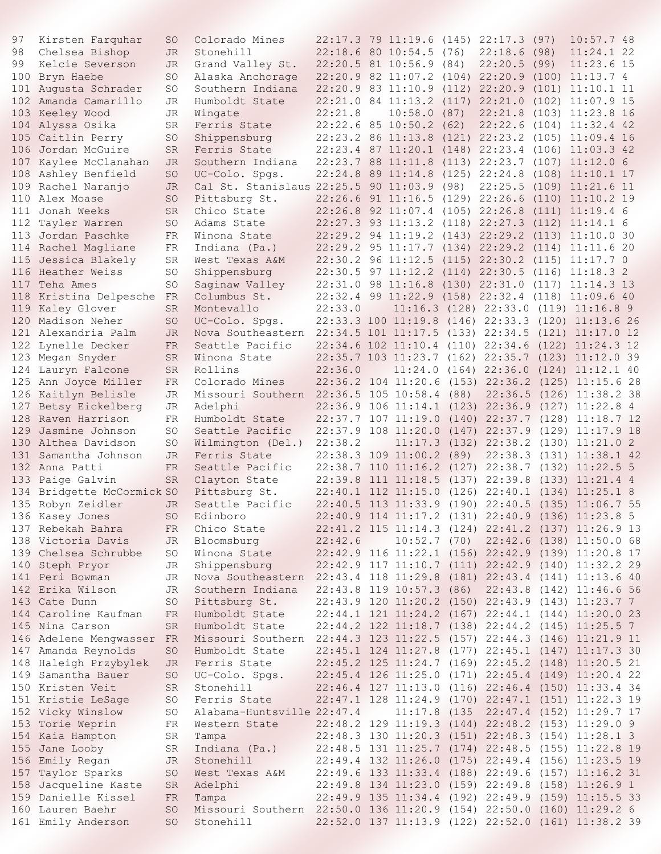| 97  | Kirsten Farquhar          | <sub>SO</sub> | Colorado Mines                                                       |                    |                                  | 22:17.3 79 11:19.6 (145) 22:17.3 (97)              |      | 10:57.748                |  |
|-----|---------------------------|---------------|----------------------------------------------------------------------|--------------------|----------------------------------|----------------------------------------------------|------|--------------------------|--|
| 98  | Chelsea Bishop            | <b>JR</b>     | Stonehill                                                            |                    | $22:18.6$ 80 10:54.5 (76)        | 22:18.6                                            | (98) | 11:24.122                |  |
| 99  | Kelcie Severson           | JR.           | Grand Valley St.                                                     |                    | 22:20.5 81 10:56.9 (84)          | 22:20.5                                            | (99) | $11:23.6$ 15             |  |
| 100 | Bryn Haebe                | <b>SO</b>     | Alaska Anchorage                                                     |                    | 22:20.9 82 11:07.2 (104) 22:20.9 |                                                    |      | $(100)$ 11:13.7 4        |  |
| 101 | Augusta Schrader          | <b>SO</b>     | Southern Indiana                                                     |                    |                                  | 22:20.9 83 11:10.9 (112) 22:20.9 (101) 11:10.1 11  |      |                          |  |
| 102 | Amanda Camarillo          | JR            | Humboldt State                                                       |                    |                                  | 22:21.0 84 11:13.2 (117) 22:21.0 (102) 11:07.9 15  |      |                          |  |
|     | 103 Keeley Wood           | JR            | Wingate                                                              | 22:21.8            | 10:58.0(87)                      | 22:21.8 (103) 11:23.8 16                           |      |                          |  |
|     | 104 Alyssa Osika          | SR            | Ferris State                                                         |                    | $22:22.6$ 85 10:50.2 (62)        | 22:22.6 (104) 11:32.4 42                           |      |                          |  |
|     | 105 Caitlin Perry         | <b>SO</b>     | Shippensburg                                                         | 22:23.2 86 11:13.8 |                                  | $(121)$ $22:23.2$ $(105)$ $11:09.4$ 16             |      |                          |  |
| 106 | Jordan McGuire            | <b>SR</b>     | Ferris State                                                         |                    | 22:23.4 87 11:20.1 (148) 22:23.4 |                                                    |      | $(106)$ 11:03.3 42       |  |
| 107 | Kaylee McClanahan         | JR.           | Southern Indiana                                                     |                    | 22:23.7 88 11:11.8 (113) 22:23.7 |                                                    |      | $(107)$ 11:12.0 6        |  |
|     | 108 Ashley Benfield       | <b>SO</b>     | UC-Colo. Spgs.                                                       |                    | 22:24.8 89 11:14.8 (125) 22:24.8 |                                                    |      | $(108)$ $11:10.1$ 17     |  |
| 109 | Rachel Naranjo            | JR.           | Cal St. Stanislaus 22:25.5 90 11:03.9 (98)                           |                    |                                  | 22:25.5 (109) 11:21.6 11                           |      |                          |  |
| 110 | Alex Moase                | <b>SO</b>     | Pittsburg St.                                                        |                    | 22:26.6 91 11:16.5 (129) 22:26.6 |                                                    |      | $(110)$ $11:10.2$ 19     |  |
| 111 | Jonah Weeks               | <b>SR</b>     | Chico State                                                          |                    | 22:26.8 92 11:07.4 (105) 22:26.8 |                                                    |      | $(111)$ $11:19.46$       |  |
| 112 | Tayler Warren             | <b>SO</b>     | Adams State                                                          |                    |                                  | 22:27.3 93 11:13.2 (118) 22:27.3 (112) 11:14.1 6   |      |                          |  |
| 113 | Jordan Paschke            | FR            | Winona State                                                         |                    |                                  | 22:29.2 94 11:19.2 (143) 22:29.2 (113) 11:10.0 30  |      |                          |  |
|     | 114 Rachel Magliane       | FR            | Indiana (Pa.)                                                        |                    |                                  | 22:29.2 95 11:17.7 (134) 22:29.2 (114) 11:11.6 20  |      |                          |  |
| 115 | Jessica Blakely           | SR            | West Texas A&M                                                       |                    |                                  | 22:30.2 96 11:12.5 (115) 22:30.2 (115) 11:17.7 0   |      |                          |  |
|     | 116 Heather Weiss         | SO            | Shippensburg                                                         |                    | 22:30.5 97 11:12.2 (114) 22:30.5 |                                                    |      | $(116)$ $11:18.3$ 2      |  |
|     | 117 Teha Ames             | SO            | Saginaw Valley                                                       |                    |                                  | 22:31.0 98 11:16.8 (130) 22:31.0 (117) 11:14.3 13  |      |                          |  |
|     | 118 Kristina Delpesche FR |               | Columbus St.                                                         |                    |                                  | 22:32.4 99 11:22.9 (158) 22:32.4 (118) 11:09.6 40  |      |                          |  |
|     | 119 Kaley Glover          | <b>SR</b>     | Montevallo                                                           | 22:33.0            |                                  | $11:16.3$ (128) 22:33.0 (119) 11:16.8 9            |      |                          |  |
|     | 120 Madison Neher         | SO            | UC-Colo. Spgs.                                                       |                    |                                  | 22:33.3 100 11:19.8 (146) 22:33.3 (120) 11:13.6 26 |      |                          |  |
|     | 121 Alexandria Palm       | JR.           | Nova Southeastern 22:34.5 101 11:17.5 (133) 22:34.5 (121) 11:17.0 12 |                    |                                  |                                                    |      |                          |  |
|     | 122 Lynelle Decker        | <b>FR</b>     | Seattle Pacific                                                      |                    |                                  | 22:34.6 102 11:10.4 (110) 22:34.6 (122) 11:24.3 12 |      |                          |  |
|     | 123 Megan Snyder          | <b>SR</b>     | Winona State                                                         |                    |                                  | 22:35.7 103 11:23.7 (162) 22:35.7 (123) 11:12.0 39 |      |                          |  |
| 124 | Lauryn Falcone            | <b>SR</b>     | Rollins                                                              | 22:36.0            |                                  | $11:24.0$ (164) 22:36.0 (124) 11:12.1 40           |      |                          |  |
|     | 125 Ann Joyce Miller      | FR            | Colorado Mines                                                       |                    | 22:36.2 104 11:20.6              | $(153)$ $22:36.2$ $(125)$ $11:15.6$ 28             |      |                          |  |
|     | 126 Kaitlyn Belisle       | JR            | Missouri Southern 22:36.5 105 10:58.4 (88)                           |                    |                                  |                                                    |      | 22:36.5 (126) 11:38.2 38 |  |
|     | 127 Betsy Eickelberg      | JR            | Adelphi                                                              |                    |                                  | 22:36.9 106 11:14.1 (123) 22:36.9 (127) 11:22.8 4  |      |                          |  |
|     | 128 Raven Harrison        | FR            | Humboldt State                                                       |                    | 22:37.7 107 11:19.0              | $(140)$ 22:37.7 $(128)$ 11:18.7 12                 |      |                          |  |
| 129 | Jasmine Johnson           | SO            | Seattle Pacific                                                      |                    | 22:37.9 108 11:20.0              | $(147)$ 22:37.9 $(129)$ 11:17.9 18                 |      |                          |  |
|     | 130 Althea Davidson       | <b>SO</b>     | Wilmington (Del.)                                                    | 22:38.2            |                                  | $11:17.3$ (132) 22:38.2 (130) 11:21.0 2            |      |                          |  |
|     | 131 Samantha Johnson      | JR.           | Ferris State                                                         |                    | 22:38.3 109 11:00.2 (89)         |                                                    |      | 22:38.3 (131) 11:38.1 42 |  |
|     | 132 Anna Patti            | <b>FR</b>     | Seattle Pacific                                                      |                    | 22:38.7 110 11:16.2              | $(127)$ 22:38.7 $(132)$ 11:22.5 5                  |      |                          |  |
|     | 133 Paige Galvin          | <b>SR</b>     | Clayton State                                                        |                    | 22:39.8 111 11:18.5              | $(137)$ 22:39.8                                    |      | $(133)$ $11:21.44$       |  |
| 134 | Bridgette McCormick SO    |               | Pittsburg St.                                                        |                    | 22:40.1 112 11:15.0              | $(126)$ $22:40.1$ $(134)$ $11:25.1$ 8              |      |                          |  |
|     | 135 Robyn Zeidler         | JR.           | Seattle Pacific                                                      |                    |                                  | 22:40.5 113 11:33.9 (190) 22:40.5 (135) 11:06.7 55 |      |                          |  |
|     | 136 Kasey Jones           | SO            | Edinboro                                                             |                    |                                  | 22:40.9 114 11:17.2 (131) 22:40.9 (136) 11:23.8 5  |      |                          |  |
|     | 137 Rebekah Bahra         | FR.           | Chico State                                                          |                    |                                  | 22:41.2 115 11:14.3 (124) 22:41.2 (137) 11:26.9 13 |      |                          |  |
|     | 138 Victoria Davis        | JR            | Bloomsburg                                                           | 22:42.6            |                                  | 10:52.7 (70) 22:42.6 (138) 11:50.0 68              |      |                          |  |
|     | 139 Chelsea Schrubbe      | SO            | Winona State                                                         |                    |                                  | 22:42.9 116 11:22.1 (156) 22:42.9 (139) 11:20.8 17 |      |                          |  |
|     | 140 Steph Pryor           | JR            | Shippensburg                                                         |                    |                                  | 22:42.9 117 11:10.7 (111) 22:42.9 (140) 11:32.2 29 |      |                          |  |
|     | 141 Peri Bowman           | JR            | Nova Southeastern                                                    |                    |                                  | 22:43.4 118 11:29.8 (181) 22:43.4 (141) 11:13.6 40 |      |                          |  |
|     | 142 Erika Wilson          | JR.           | Southern Indiana                                                     |                    | 22:43.8 119 10:57.3 (86)         |                                                    |      | 22:43.8 (142) 11:46.6 56 |  |
|     | 143 Cate Dunn             | SO            | Pittsburg St.                                                        |                    |                                  | 22:43.9 120 11:20.2 (150) 22:43.9 (143) 11:23.7 7  |      |                          |  |
|     | 144 Caroline Kaufman      | FR            | Humboldt State                                                       |                    |                                  | 22:44.1 121 11:24.2 (167) 22:44.1 (144) 11:20.0 23 |      |                          |  |
|     | 145 Nina Carson           | <b>SR</b>     | Humboldt State                                                       |                    |                                  | 22:44.2 122 11:18.7 (138) 22:44.2 (145) 11:25.5 7  |      |                          |  |
|     | 146 Adelene Mengwasser FR |               | Missouri Southern 22:44.3 123 11:22.5 (157) 22:44.3 (146) 11:21.9 11 |                    |                                  |                                                    |      |                          |  |
|     | 147 Amanda Reynolds       | <b>SO</b>     | Humboldt State                                                       |                    |                                  | 22:45.1 124 11:27.8 (177) 22:45.1 (147) 11:17.3 30 |      |                          |  |
|     | 148 Haleigh Przybylek     | JR.           | Ferris State                                                         |                    |                                  | 22:45.2 125 11:24.7 (169) 22:45.2 (148) 11:20.5 21 |      |                          |  |
|     | 149 Samantha Bauer        | <b>SO</b>     | UC-Colo. Spgs.                                                       |                    |                                  | 22:45.4 126 11:25.0 (171) 22:45.4 (149) 11:20.4 22 |      |                          |  |
|     | 150 Kristen Veit          | SR.           | Stonehill                                                            |                    |                                  | 22:46.4 127 11:13.0 (116) 22:46.4 (150) 11:33.4 34 |      |                          |  |
|     | 151 Kristie LeSage        | SO            | Ferris State                                                         |                    |                                  | 22:47.1 128 11:24.9 (170) 22:47.1 (151) 11:22.3 19 |      |                          |  |
|     | 152 Vicky Winslow         | <b>SO</b>     | Alabama-Huntsville 22:47.4                                           |                    |                                  | 11:17.8 (135 22:47.4 (152) 11:29.7 17              |      |                          |  |
|     | 153 Torie Weprin          | FR            | Western State                                                        |                    |                                  | 22:48.2 129 11:19.3 (144) 22:48.2 (153) 11:29.0 9  |      |                          |  |
|     | 154 Kaia Hampton          | SR            | Tampa                                                                |                    |                                  | 22:48.3 130 11:20.3 (151) 22:48.3 (154) 11:28.1 3  |      |                          |  |
|     | 155 Jane Looby            | SR            | Indiana (Pa.)                                                        |                    |                                  | 22:48.5 131 11:25.7 (174) 22:48.5 (155) 11:22.8 19 |      |                          |  |
|     | 156 Emily Regan           | JR            | Stonehill                                                            |                    |                                  | 22:49.4 132 11:26.0 (175) 22:49.4 (156) 11:23.5 19 |      |                          |  |
|     | 157 Taylor Sparks         | <b>SO</b>     | West Texas A&M                                                       |                    |                                  | 22:49.6 133 11:33.4 (188) 22:49.6 (157) 11:16.2 31 |      |                          |  |
|     | 158 Jacqueline Kaste      | <b>SR</b>     | Adelphi                                                              |                    |                                  | 22:49.8 134 11:23.0 (159) 22:49.8 (158) 11:26.9 1  |      |                          |  |
|     | 159 Danielle Kissel       | FR            | Tampa                                                                |                    |                                  | 22:49.9 135 11:34.4 (192) 22:49.9 (159) 11:15.5 33 |      |                          |  |
|     | 160 Lauren Baehr          | <b>SO</b>     | Missouri Southern 22:50.0 136 11:20.9 (154) 22:50.0 (160) 11:29.2 6  |                    |                                  |                                                    |      |                          |  |
|     | 161 Emily Anderson        | <b>SO</b>     | Stonehill                                                            |                    |                                  | 22:52.0 137 11:13.9 (122) 22:52.0 (161) 11:38.2 39 |      |                          |  |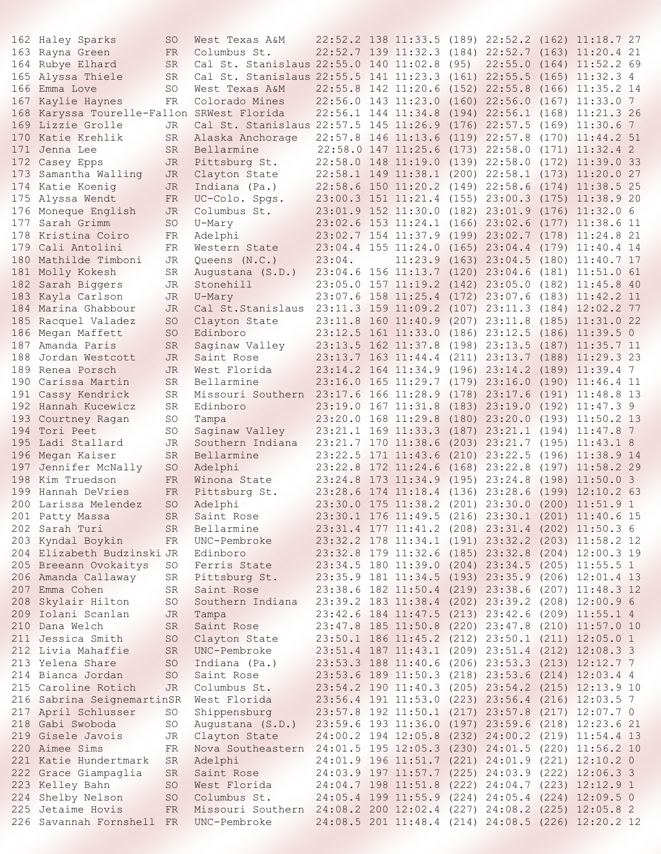|     | 162 Haley Sparks                           | SO              | West Texas A&M                                                       |                                   |                                   |         |       | 22:52.2 138 11:33.5 (189) 22:52.2 (162) 11:18.7 27 |
|-----|--------------------------------------------|-----------------|----------------------------------------------------------------------|-----------------------------------|-----------------------------------|---------|-------|----------------------------------------------------|
|     | 163 Rayna Green                            | FR.             | Columbus St.                                                         |                                   |                                   |         |       | 22:52.7 139 11:32.3 (184) 22:52.7 (163) 11:20.4 21 |
|     | 164 Rubye Elhard                           | <b>SR</b>       | Cal St. Stanislaus 22:55.0 140 11:02.8 (95)                          |                                   |                                   | 22:55.0 |       | $(164)$ $11:52.2$ 69                               |
|     | 165 Alyssa Thiele                          | <b>SR</b>       | Cal St. Stanislaus 22:55.5 141 11:23.3 (161) 22:55.5 (165) 11:32.3 4 |                                   |                                   |         |       |                                                    |
| 166 | Emma Love                                  | SO.             | West Texas A&M                                                       |                                   | 22:55.8 142 11:20.6 (152) 22:55.8 |         |       | $(166)$ $11:35.2$ 14                               |
| 167 | Kaylie Haynes                              | FR              | Colorado Mines                                                       |                                   |                                   |         |       | 22:56.0 143 11:23.0 (160) 22:56.0 (167) 11:33.0 7  |
|     | 168 Karyssa Tourelle-Fallon SRWest Florida |                 |                                                                      |                                   |                                   |         |       | 22:56.1 144 11:34.8 (194) 22:56.1 (168) 11:21.3 26 |
|     | 169 Lizzie Grolle                          | JR.             | Cal St. Stanislaus 22:57.5 145 11:26.9 (176) 22:57.5                 |                                   |                                   |         |       | $(169)$ $11:30.6$ 7                                |
| 170 | Katie Krehlik                              | SR              | Alaska Anchorage                                                     |                                   | 22:57.8 146 11:13.6 (119) 22:57.8 |         |       | $(170)$ $11:44.2$ 51                               |
| 171 | Jenna Lee                                  | SR              | Bellarmine                                                           |                                   | 22:58.0 147 11:25.6 (173) 22:58.0 |         |       | $(171)$ $11:32.4$ 2                                |
|     | 172 Casey Epps                             | JR              | Pittsburg St.                                                        |                                   |                                   |         |       | 22:58.0 148 11:19.0 (139) 22:58.0 (172) 11:39.0 33 |
|     | 173 Samantha Walling                       | <b>JR</b>       | Clayton State                                                        |                                   |                                   |         |       | 22:58.1 149 11:38.1 (200) 22:58.1 (173) 11:20.0 27 |
|     | 174 Katie Koenig                           | JR              | Indiana (Pa.)                                                        |                                   | 22:58.6 150 11:20.2 (149) 22:58.6 |         |       | $(174)$ 11:38.5 25                                 |
|     | 175 Alyssa Wendt                           | <b>FR</b>       |                                                                      |                                   |                                   |         |       | 23:00.3 151 11:21.4 (155) 23:00.3 (175) 11:38.9 20 |
|     |                                            |                 | UC-Colo. Spgs.<br>Columbus St.                                       |                                   |                                   |         |       |                                                    |
|     | 176 Moneque English                        | JR              |                                                                      |                                   |                                   |         |       | 23:01.9 152 11:30.0 (182) 23:01.9 (176) 11:32.0 6  |
| 177 | Sarah Grimm                                | <b>SO</b>       | U-Mary                                                               |                                   |                                   |         |       | 23:02.6 153 11:24.1 (166) 23:02.6 (177) 11:38.6 11 |
| 178 | Kristina Coiro                             | FR              | Adelphi                                                              |                                   |                                   |         |       | 23:02.7 154 11:37.9 (199) 23:02.7 (178) 11:24.8 21 |
| 179 | Cali Antolini                              | FR              | Western State                                                        |                                   | 23:04.4 155 11:24.0 (165) 23:04.4 |         |       | $(179)$ 11:40.4 14                                 |
|     | 180 Mathilde Timboni                       | JR              | Queens $(N.C.)$                                                      | 23:04.                            |                                   |         |       | $11:23.9$ (163) $23:04.5$ (180) $11:40.7$ 17       |
|     | 181 Molly Kokesh                           | SR              | Augustana (S.D.)                                                     |                                   | 23:04.6 156 11:13.7 (120) 23:04.6 |         |       | $(181)$ $11:51.0$ 61                               |
|     | 182 Sarah Biggers                          | JR              | Stonehill                                                            |                                   | 23:05.0 157 11:19.2 (142) 23:05.0 |         |       | $(182)$ $11:45.8$ 40                               |
|     | 183 Kayla Carlson                          | JR              | U-Mary                                                               |                                   |                                   |         |       | 23:07.6 158 11:25.4 (172) 23:07.6 (183) 11:42.2 11 |
|     | 184 Marina Ghabbour                        | JR              | Cal St. Stanislaus                                                   |                                   |                                   |         |       | 23:11.3 159 11:09.2 (107) 23:11.3 (184) 12:02.2 77 |
|     | 185 Racquel Valadez                        | <b>SO</b>       | Clayton State                                                        |                                   |                                   |         |       | 23:11.8 160 11:40.9 (207) 23:11.8 (185) 11:31.0 22 |
|     | 186 Megan Maffett                          | SO              | Edinboro                                                             |                                   |                                   |         |       | 23:12.5 161 11:33.0 (186) 23:12.5 (186) 11:39.5 0  |
| 187 | Amanda Paris                               | <b>SR</b>       | Saginaw Valley                                                       |                                   |                                   |         |       | 23:13.5 162 11:37.8 (198) 23:13.5 (187) 11:35.7 11 |
| 188 | Jordan Westcott                            | JR              | Saint Rose                                                           |                                   | 23:13.7 163 11:44.4 (211) 23:13.7 |         |       | $(188)$ $11:29.3$ 23                               |
|     | 189 Renea Porsch                           | JR.             | West Florida                                                         |                                   |                                   |         |       | 23:14.2 164 11:34.9 (196) 23:14.2 (189) 11:39.4 7  |
| 190 | Carissa Martin                             | <b>SR</b>       | Bellarmine                                                           |                                   | 23:16.0 165 11:29.7 (179) 23:16.0 |         |       | $(190)$ $11:46.4$ 11                               |
|     | 191 Cassy Kendrick                         | SR              | Missouri Southern                                                    | 23:17.6 166 11:28.9 (178) 23:17.6 |                                   |         | (191) | $11:48.8$ 13                                       |
|     | 192 Hannah Kucewicz                        | SR              | Edinboro                                                             |                                   | 23:19.0 167 11:31.8 (183) 23:19.0 |         |       | $(192)$ 11:47.3 9                                  |
| 193 | Courtney Ragan                             | <b>SO</b>       | Tampa                                                                |                                   | 23:20.0 168 11:29.8 (180) 23:20.0 |         |       | $(193)$ $11:50.2$ 13                               |
|     | 194 Tori Peet                              | SO              | Saginaw Valley                                                       |                                   |                                   |         |       | 23:21.1 169 11:33.3 (187) 23:21.1 (194) 11:47.8 7  |
|     | 195 Ladi Stallard                          | JR              | Southern Indiana                                                     |                                   |                                   |         |       | 23:21.7 170 11:38.6 (203) 23:21.7 (195) 11:43.1 8  |
|     | 196 Megan Kaiser                           | <b>SR</b>       | Bellarmine                                                           | 23:22.5 171 11:43.6               |                                   |         |       | $(210)$ $23:22.5$ $(196)$ $11:38.9$ 14             |
| 197 | Jennifer McNally                           | <b>SO</b>       | Adelphi                                                              |                                   | 23:22.8 172 11:24.6 (168) 23:22.8 |         |       | $(197)$ $11:58.2$ 29                               |
|     | 198 Kim Truedson                           | FR              | Winona State                                                         |                                   | 23:24.8 173 11:34.9 (195) 23:24.8 |         |       | $(198)$ 11:50.0 3                                  |
|     | 199 Hannah DeVries                         | FR              | Pittsburg St.                                                        |                                   | 23:28.6 174 11:18.4 (136) 23:28.6 |         |       | $(199)$ $12:10.2$ 63                               |
|     | 200 Larissa Melendez                       | <b>SO</b>       | Adelphi                                                              |                                   | 23:30.0 175 11:38.2 (201) 23:30.0 |         |       | $(200)$ 11:51.9 1                                  |
|     | 201 Patty Massa                            | SR              | Saint Rose                                                           |                                   |                                   |         |       | 23:30.1 176 11:49.5 (216) 23:30.1 (201) 11:40.6 15 |
|     | 202 Sarah Turi                             | SR              | Bellarmine                                                           |                                   |                                   |         |       | 23:31.4 177 11:41.2 (208) 23:31.4 (202) 11:50.3 6  |
|     |                                            |                 |                                                                      |                                   |                                   |         |       |                                                    |
|     | 203 Kyndal Boykin                          | FR              | UNC-Pembroke<br>Edinboro                                             |                                   |                                   |         |       | 23:32.2 178 11:34.1 (191) 23:32.2 (203) 11:58.2 12 |
|     | 204 Elizabeth Budzinski JR                 |                 |                                                                      |                                   |                                   |         |       | 23:32.8 179 11:32.6 (185) 23:32.8 (204) 12:00.3 19 |
|     | 205 Breeann Ovokaitys                      | SO              | Ferris State                                                         |                                   |                                   |         |       | 23:34.5 180 11:39.0 (204) 23:34.5 (205) 11:55.5 1  |
|     | 206 Amanda Callaway                        | SR.             | Pittsburg St.                                                        |                                   |                                   |         |       | 23:35.9 181 11:34.5 (193) 23:35.9 (206) 12:01.4 13 |
|     | 207 Emma Cohen                             | SR              | Saint Rose                                                           |                                   |                                   |         |       | 23:38.6 182 11:50.4 (219) 23:38.6 (207) 11:48.3 12 |
|     | 208 Skylair Hilton                         | SO              | Southern Indiana                                                     |                                   |                                   |         |       | 23:39.2 183 11:38.4 (202) 23:39.2 (208) 12:00.9 6  |
|     | 209 Iolani Scanlan                         | JR              | Tampa                                                                |                                   |                                   |         |       | 23:42.6 184 11:47.5 (213) 23:42.6 (209) 11:55.1 4  |
|     | 210 Dana Welch                             | SR              | Saint Rose                                                           |                                   |                                   |         |       | 23:47.8 185 11:50.8 (220) 23:47.8 (210) 11:57.0 10 |
|     | 211 Jessica Smith                          | SO              | Clayton State                                                        |                                   |                                   |         |       | 23:50.1 186 11:45.2 (212) 23:50.1 (211) 12:05.0 1  |
|     | 212 Livia Mahaffie                         | <b>SR</b>       | UNC-Pembroke                                                         |                                   |                                   |         |       | 23:51.4 187 11:43.1 (209) 23:51.4 (212) 12:08.3 3  |
|     | 213 Yelena Share                           | SO              | Indiana (Pa.)                                                        |                                   |                                   |         |       | 23:53.3 188 11:40.6 (206) 23:53.3 (213) 12:12.7 7  |
|     | 214 Bianca Jordan                          | SO <sub>1</sub> | Saint Rose                                                           |                                   |                                   |         |       | 23:53.6 189 11:50.3 (218) 23:53.6 (214) 12:03.4 4  |
|     | 215 Caroline Rotich                        | JR              | Columbus St.                                                         |                                   |                                   |         |       | 23:54.2 190 11:40.3 (205) 23:54.2 (215) 12:13.9 10 |
|     | 216 Sabrina SeignemartinSR                 |                 | West Florida                                                         |                                   |                                   |         |       | 23:56.4 191 11:53.0 (223) 23:56.4 (216) 12:03.5 7  |
|     | 217 April Schlusser                        | SO              | Shippensburg                                                         |                                   |                                   |         |       | 23:57.8 192 11:50.1 (217) 23:57.8 (217) 12:07.7 0  |
|     | 218 Gabi Swoboda                           | SO              | Augustana (S.D.)                                                     |                                   |                                   |         |       | 23:59.6 193 11:36.0 (197) 23:59.6 (218) 12:23.6 21 |
|     | 219 Gisele Javois                          | JR              | Clayton State                                                        |                                   |                                   |         |       | 24:00.2 194 12:05.8 (232) 24:00.2 (219) 11:54.4 13 |
|     | 220 Aimee Sims                             | FR              | Nova Southeastern 24:01.5 195 12:05.3 (230) 24:01.5 (220) 11:56.2 10 |                                   |                                   |         |       |                                                    |
|     | 221 Katie Hundertmark                      | SR              | Adelphi                                                              |                                   |                                   |         |       | 24:01.9 196 11:51.7 (221) 24:01.9 (221) 12:10.2 0  |
|     | 222 Grace Giampaglia                       | <b>SR</b>       | Saint Rose                                                           |                                   |                                   |         |       | 24:03.9 197 11:57.7 (225) 24:03.9 (222) 12:06.3 3  |
|     | 223 Kelley Bahn                            | <b>SO</b>       | West Florida                                                         |                                   |                                   |         |       | 24:04.7 198 11:51.8 (222) 24:04.7 (223) 12:12.9 1  |
|     | 224 Shelby Nelson                          | <b>SO</b>       | Columbus St.                                                         |                                   |                                   |         |       | 24:05.4 199 11:55.9 (224) 24:05.4 (224) 12:09.5 0  |
|     | 225 Jetaime Hovis                          | FR              | Missouri Southern 24:08.2 200 12:02.4 (227) 24:08.2 (225) 12:05.8 2  |                                   |                                   |         |       |                                                    |
|     | 226 Savannah Fornshell FR                  |                 | UNC-Pembroke<br>and the state                                        |                                   |                                   |         |       | 24:08.5 201 11:48.4 (214) 24:08.5 (226) 12:20.2 12 |